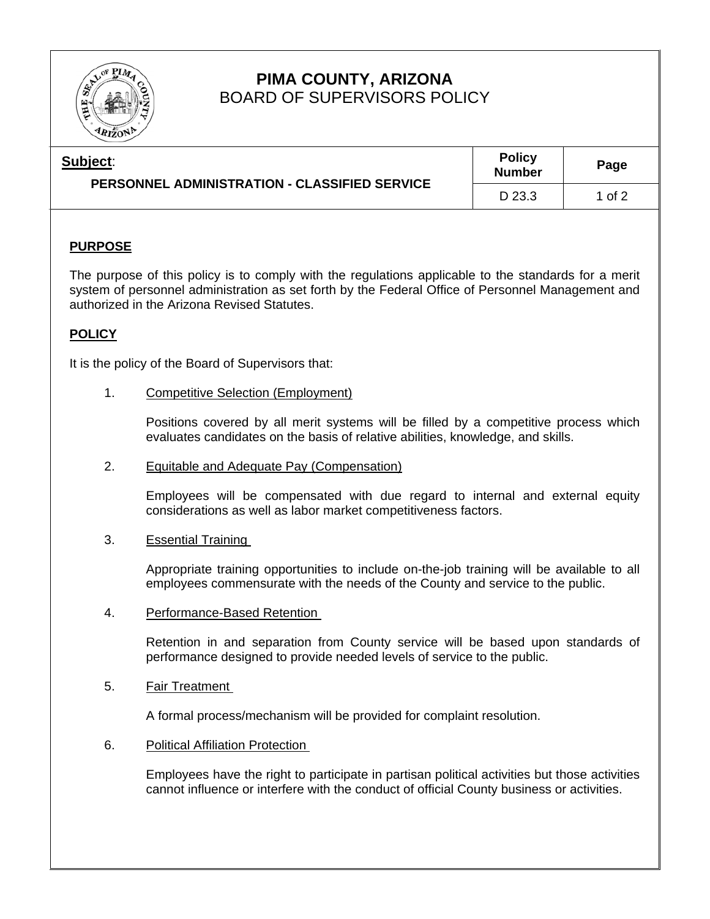

# **PIMA COUNTY, ARIZONA**  BOARD OF SUPERVISORS POLICY

| Subject:<br>PERSONNEL ADMINISTRATION - CLASSIFIED SERVICE | <b>Policy</b><br><b>Number</b> | Page   |
|-----------------------------------------------------------|--------------------------------|--------|
|                                                           | D 23.3                         | 1 of 2 |

## **PURPOSE**

The purpose of this policy is to comply with the regulations applicable to the standards for a merit system of personnel administration as set forth by the Federal Office of Personnel Management and authorized in the Arizona Revised Statutes.

### **POLICY**

It is the policy of the Board of Supervisors that:

1. Competitive Selection (Employment)

Positions covered by all merit systems will be filled by a competitive process which evaluates candidates on the basis of relative abilities, knowledge, and skills.

2. Equitable and Adequate Pay (Compensation)

Employees will be compensated with due regard to internal and external equity considerations as well as labor market competitiveness factors.

3. Essential Training

Appropriate training opportunities to include on-the-job training will be available to all employees commensurate with the needs of the County and service to the public.

4. Performance-Based Retention

Retention in and separation from County service will be based upon standards of performance designed to provide needed levels of service to the public.

5. Fair Treatment

A formal process/mechanism will be provided for complaint resolution.

6. Political Affiliation Protection

Employees have the right to participate in partisan political activities but those activities cannot influence or interfere with the conduct of official County business or activities.